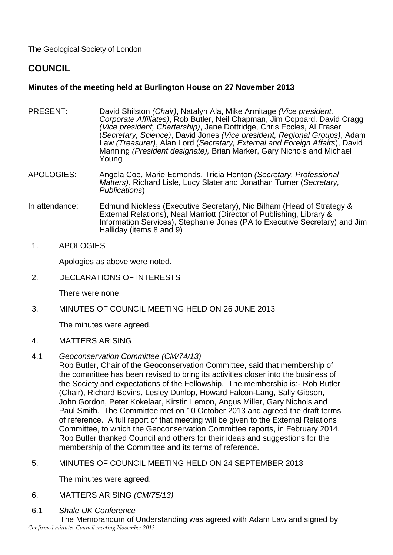The Geological Society of London

# **COUNCIL**

## **Minutes of the meeting held at Burlington House on 27 November 2013**

- PRESENT: David Shilston *(Chair)*, Natalyn Ala, Mike Armitage *(Vice president, Corporate Affiliates)*, Rob Butler, Neil Chapman, Jim Coppard, David Cragg *(Vice president, Chartership)*, Jane Dottridge, Chris Eccles, Al Fraser (*Secretary, Science)*, David Jones *(Vice president, Regional Groups)*, Adam Law *(Treasurer)*, Alan Lord (*Secretary, External and Foreign Affairs*), David Manning *(President designate),* Brian Marker, Gary Nichols and Michael Young
- APOLOGIES: Angela Coe, Marie Edmonds, Tricia Henton *(Secretary, Professional Matters),* Richard Lisle, Lucy Slater and Jonathan Turner (*Secretary, Publications*)
- In attendance: Edmund Nickless (Executive Secretary), Nic Bilham (Head of Strategy & External Relations), Neal Marriott (Director of Publishing, Library & Information Services), Stephanie Jones (PA to Executive Secretary) and Jim Halliday (items 8 and 9)
- 1. APOLOGIES

Apologies as above were noted.

2. DECLARATIONS OF INTERESTS

There were none.

3. MINUTES OF COUNCIL MEETING HELD ON 26 JUNE 2013

The minutes were agreed.

- 4. MATTERS ARISING
- 4.1 *Geoconservation Committee (CM/74/13)*

Rob Butler, Chair of the Geoconservation Committee, said that membership of the committee has been revised to bring its activities closer into the business of the Society and expectations of the Fellowship. The membership is:- Rob Butler (Chair), Richard Bevins, Lesley Dunlop, Howard Falcon-Lang, Sally Gibson, John Gordon, Peter Kokelaar, Kirstin Lemon, Angus Miller, Gary Nichols and Paul Smith. The Committee met on 10 October 2013 and agreed the draft terms of reference. A full report of that meeting will be given to the External Relations Committee, to which the Geoconservation Committee reports, in February 2014. Rob Butler thanked Council and others for their ideas and suggestions for the membership of the Committee and its terms of reference.

5. MINUTES OF COUNCIL MEETING HELD ON 24 SEPTEMBER 2013

The minutes were agreed.

- 6. MATTERS ARISING *(CM/75/13)*
- 6.1 *Shale UK Conference*

*Confirmed minutes Council meeting November 2013*  The Memorandum of Understanding was agreed with Adam Law and signed by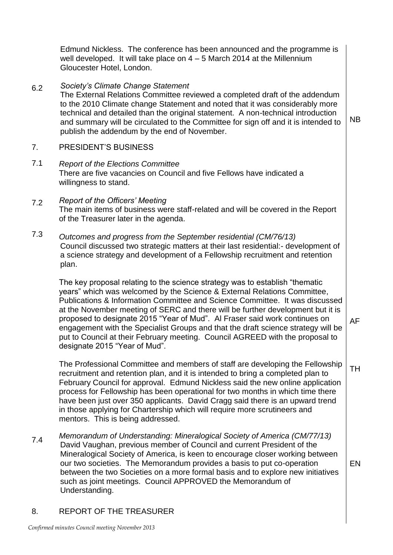|     | Edmund Nickless. The conference has been announced and the programme is<br>well developed. It will take place on $4 - 5$ March 2014 at the Millennium<br>Gloucester Hotel, London.                                                                                                                                                                                                                                                                                                                                                                                                                               |           |
|-----|------------------------------------------------------------------------------------------------------------------------------------------------------------------------------------------------------------------------------------------------------------------------------------------------------------------------------------------------------------------------------------------------------------------------------------------------------------------------------------------------------------------------------------------------------------------------------------------------------------------|-----------|
| 6.2 | Society's Climate Change Statement<br>The External Relations Committee reviewed a completed draft of the addendum<br>to the 2010 Climate change Statement and noted that it was considerably more<br>technical and detailed than the original statement. A non-technical introduction<br>and summary will be circulated to the Committee for sign off and it is intended to<br>publish the addendum by the end of November.                                                                                                                                                                                      | <b>NB</b> |
| 7.  | PRESIDENT'S BUSINESS                                                                                                                                                                                                                                                                                                                                                                                                                                                                                                                                                                                             |           |
| 7.1 | <b>Report of the Elections Committee</b><br>There are five vacancies on Council and five Fellows have indicated a<br>willingness to stand.                                                                                                                                                                                                                                                                                                                                                                                                                                                                       |           |
| 7.2 | <b>Report of the Officers' Meeting</b><br>The main items of business were staff-related and will be covered in the Report<br>of the Treasurer later in the agenda.                                                                                                                                                                                                                                                                                                                                                                                                                                               |           |
| 7.3 | Outcomes and progress from the September residential (CM/76/13)<br>Council discussed two strategic matters at their last residential: - development of<br>a science strategy and development of a Fellowship recruitment and retention<br>plan.                                                                                                                                                                                                                                                                                                                                                                  |           |
|     | The key proposal relating to the science strategy was to establish "thematic<br>years" which was welcomed by the Science & External Relations Committee,<br>Publications & Information Committee and Science Committee. It was discussed<br>at the November meeting of SERC and there will be further development but it is<br>proposed to designate 2015 "Year of Mud". Al Fraser said work continues on<br>engagement with the Specialist Groups and that the draft science strategy will be<br>put to Council at their February meeting. Council AGREED with the proposal to<br>designate 2015 "Year of Mud". | AF        |
|     | The Professional Committee and members of staff are developing the Fellowship<br>recruitment and retention plan, and it is intended to bring a completed plan to<br>February Council for approval. Edmund Nickless said the new online application<br>process for Fellowship has been operational for two months in which time there<br>have been just over 350 applicants. David Cragg said there is an upward trend<br>in those applying for Chartership which will require more scrutineers and<br>mentors. This is being addressed.                                                                          | TН        |
| 7.4 | Memorandum of Understanding: Mineralogical Society of America (CM/77/13)<br>David Vaughan, previous member of Council and current President of the<br>Mineralogical Society of America, is keen to encourage closer working between<br>our two societies. The Memorandum provides a basis to put co-operation<br>between the two Societies on a more formal basis and to explore new initiatives<br>such as joint meetings. Council APPROVED the Memorandum of                                                                                                                                                   | EN        |

8. REPORT OF THE TREASURER

Understanding.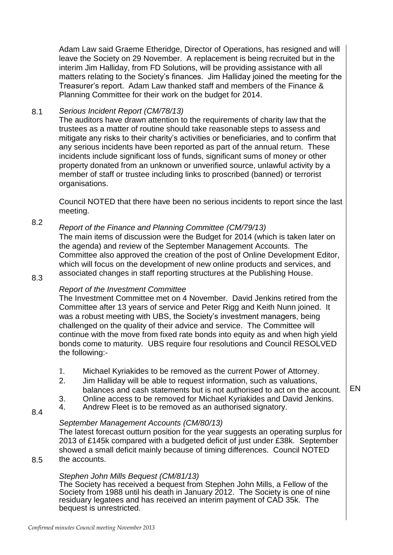Adam Law said Graeme Etheridge, Director of Operations, has resigned and will leave the Society on 29 November. A replacement is being recruited but in the interim Jim Halliday, from FD Solutions, will be providing assistance with all matters relating to the Society's finances. Jim Halliday joined the meeting for the Treasurer's report. Adam Law thanked staff and members of the Finance & Planning Committee for their work on the budget for 2014.

#### 8.1 *Serious Incident Report (CM/78/13)*

The auditors have drawn attention to the requirements of charity law that the trustees as a matter of routine should take reasonable steps to assess and mitigate any risks to their charity's activities or beneficiaries, and to confirm that any serious incidents have been reported as part of the annual return. These incidents include significant loss of funds, significant sums of money or other property donated from an unknown or unverified source, unlawful activity by a member of staff or trustee including links to proscribed (banned) or terrorist organisations.

Council NOTED that there have been no serious incidents to report since the last meeting.

### 8.2 *Report of the Finance and Planning Committee (CM/79/13)*

The main items of discussion were the Budget for 2014 (which is taken later on the agenda) and review of the September Management Accounts. The Committee also approved the creation of the post of Online Development Editor, which will focus on the development of new online products and services, and associated changes in staff reporting structures at the Publishing House.

### 8.3

8.4

8.5

### *Report of the Investment Committee*

The Investment Committee met on 4 November. David Jenkins retired from the Committee after 13 years of service and Peter Rigg and Keith Nunn joined. It was a robust meeting with UBS, the Society's investment managers, being challenged on the quality of their advice and service. The Committee will continue with the move from fixed rate bonds into equity as and when high yield bonds come to maturity. UBS require four resolutions and Council RESOLVED the following:-

- 1. Michael Kyriakides to be removed as the current Power of Attorney.
- 2. Jim Halliday will be able to request information, such as valuations, balances and cash statements but is not authorised to act on the account.
- 3. Online access to be removed for Michael Kyriakides and David Jenkins.<br>4. Andrew Fleet is to be removed as an authorised signatory.
- Andrew Fleet is to be removed as an authorised signatory.

## *September Management Accounts (CM/80/13)*

The latest forecast outturn position for the year suggests an operating surplus for 2013 of £145k compared with a budgeted deficit of just under £38k. September showed a small deficit mainly because of timing differences. Council NOTED the accounts.

# *Stephen John Mills Bequest (CM/81/13)*

The Society has received a bequest from Stephen John Mills, a Fellow of the Society from 1988 until his death in January 2012. The Society is one of nine residuary legatees and has received an interim payment of CAD 35k. The bequest is unrestricted.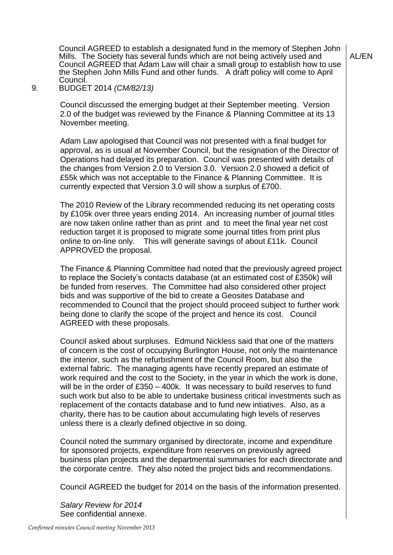Council AGREED to establish a designated fund in the memory of Stephen John Mills. The Society has several funds which are not being actively used and Council AGREED that Adam Law will chair a small group to establish how to use the Stephen John Mills Fund and other funds. A draft policy will come to April Council.

9. BUDGET 2014 *(CM/82/13)*

Council discussed the emerging budget at their September meeting. Version 2.0 of the budget was reviewed by the Finance & Planning Committee at its 13 November meeting.

Adam Law apologised that Council was not presented with a final budget for approval, as is usual at November Council, but the resignation of the Director of Operations had delayed its preparation. Council was presented with details of the changes from Version 2.0 to Version 3.0. Version 2.0 showed a deficit of £55k which was not acceptable to the Finance & Planning Committee. It is currently expected that Version 3.0 will show a surplus of £700.

The 2010 Review of the Library recommended reducing its net operating costs by £105k over three years ending 2014. An increasing number of journal titles are now taken online rather than as print and to meet the final year net cost reduction target it is proposed to migrate some journal titles from print plus online to on-line only. This will generate savings of about £11k. Council APPROVED the proposal.

The Finance & Planning Committee had noted that the previously agreed project to replace the Society's contacts database (at an estimated cost of £350k) will be funded from reserves. The Committee had also considered other project bids and was supportive of the bid to create a Geosites Database and recommended to Council that the project should proceed subject to further work being done to clarify the scope of the project and hence its cost. Council AGREED with these proposals.

Council asked about surpluses. Edmund Nickless said that one of the matters of concern is the cost of occupying Burlington House, not only the maintenance the interior, such as the refurbishment of the Council Room, but also the external fabric. The managing agents have recently prepared an estimate of work required and the cost to the Society, in the year in which the work is done, will be in the order of £350 – 400k. It was necessary to build reserves to fund such work but also to be able to undertake business critical investments such as replacement of the contacts database and to fund new intiatives. Also, as a charity, there has to be caution about accumulating high levels of reserves unless there is a clearly defined objective in so doing.

Council noted the summary organised by directorate, income and expenditure for sponsored projects, expenditure from reserves on previously agreed business plan projects and the departmental summaries for each directorate and the corporate centre. They also noted the project bids and recommendations.

Council AGREED the budget for 2014 on the basis of the information presented.

*Salary Review for 2014* See confidential annexe.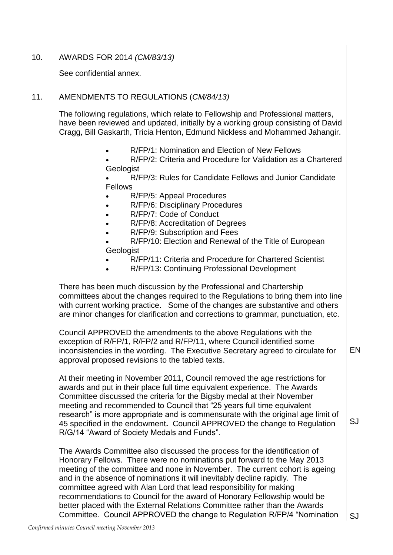### 10. AWARDS FOR 2014 *(CM/83/13)*

See confidential annex.

### 11. AMENDMENTS TO REGULATIONS (*CM/84/13)*

The following regulations, which relate to Fellowship and Professional matters, have been reviewed and updated, initially by a working group consisting of David Cragg, Bill Gaskarth, Tricia Henton, Edmund Nickless and Mohammed Jahangir.

[R/FP/1: Nomination and Election of New Fellows](http://www.geolsoc.org.uk/en/About/Governance/~/media/shared/documents/Society/Regulations/R-FP-01%20Nomination%20%20Election%20of%20New%20Fellows%2016June2010.ashx)

 [R/FP/2: Criteria and Procedure for Validation as a Chartered](http://www.geolsoc.org.uk/en/About/Governance/~/media/shared/documents/Fellowship/RFP02%20Criteria%20%20Procedure%20for%20Validation%20as%20a%20CGeol%20agreed%206Feb2013.ashx)  [Geologist](http://www.geolsoc.org.uk/en/About/Governance/~/media/shared/documents/Fellowship/RFP02%20Criteria%20%20Procedure%20for%20Validation%20as%20a%20CGeol%20agreed%206Feb2013.ashx)

 [R/FP/3: Rules for Candidate Fellows and Junior Candidate](http://www.geolsoc.org.uk/en/About/Governance/~/media/shared/documents/Society/Regulations/R-FP-03%20Rules%20for%20Candidate%20Fellows%20%20Junior%20Candidate%20Fellows%2016June2010.ashx)  [Fellows](http://www.geolsoc.org.uk/en/About/Governance/~/media/shared/documents/Society/Regulations/R-FP-03%20Rules%20for%20Candidate%20Fellows%20%20Junior%20Candidate%20Fellows%2016June2010.ashx)

- [R/FP/5: Appeal Procedures](http://www.geolsoc.org.uk/en/About/Governance/~/media/shared/documents/Society/Regulations/R-FP-05%20Appeal%20Procedures%2016June2010.ashx)
- [R/FP/6: Disciplinary Procedures](http://www.geolsoc.org.uk/en/About/Governance/~/media/shared/documents/Society/Regulations/R-FP-06%20Disciplinary%20Procedures%2016June2010.ashx)
- [R/FP/7: Code of Conduct](http://www.geolsoc.org.uk/en/About/Governance/~/media/shared/documents/Society/Regulations/R-FP-07%20Code%20of%20Conduct%2013Apr2011.ashx)
- [R/FP/8: Accreditation of Degrees](http://www.geolsoc.org.uk/en/About/Governance/~/media/shared/documents/Society/Regulations/R-FP-08%20Accreditation%20of%20Degrees%2016June2010.ashx)
- [R/FP/9: Subscription and Fees](http://www.geolsoc.org.uk/en/About/Governance/~/media/shared/documents/Society/Regulations/R-FP-09%20Subscription%20%20Fees%2016June2010.ashx)

 [R/FP/10: Election and Renewal of the Title of European](http://www.geolsoc.org.uk/en/About/Governance/~/media/shared/documents/Society/Regulations/R-FP-10%20Election%20%20Renewal%20of%20the%20Title%20of%20European%20Geologist%2016June2010.ashx)  **[Geologist](http://www.geolsoc.org.uk/en/About/Governance/~/media/shared/documents/Society/Regulations/R-FP-10%20Election%20%20Renewal%20of%20the%20Title%20of%20European%20Geologist%2016June2010.ashx)** 

- [R/FP/11: Criteria and Procedure for Chartered Scientist](http://www.geolsoc.org.uk/en/About/Governance/~/media/shared/documents/Fellowship/RFP11%20Criteria%20%20Procedure%20for%20Chartered%20Scientist%20agreed%2028Nov2012.ashx)
- [R/FP/13: Continuing Professional Development](http://www.geolsoc.org.uk/en/About/Governance/~/media/shared/documents/Society/Regulations/R-FP-13%20Continuing%20Professional%20Development%2016June2010.ashx)

There has been much discussion by the Professional and Chartership committees about the changes required to the Regulations to bring them into line with current working practice. Some of the changes are substantive and others are minor changes for clarification and corrections to grammar, punctuation, etc.

Council APPROVED the amendments to the above Regulations with the exception of R/FP/1, R/FP/2 and R/FP/11, where Council identified some inconsistencies in the wording. The Executive Secretary agreed to circulate for approval proposed revisions to the tabled texts.

At their meeting in November 2011, Council removed the age restrictions for awards and put in their place full time equivalent experience. The Awards Committee discussed the criteria for the Bigsby medal at their November meeting and recommended to Council that "25 years full time equivalent research" is more appropriate and is commensurate with the original age limit of 45 specified in the endowment**.** Council APPROVED the change to Regulation R/G/14 "Award of Society Medals and Funds".

The Awards Committee also discussed the process for the identification of Honorary Fellows. There were no nominations put forward to the May 2013 meeting of the committee and none in November. The current cohort is ageing and in the absence of nominations it will inevitably decline rapidly. The committee agreed with Alan Lord that lead responsibility for making recommendations to Council for the award of Honorary Fellowship would be better placed with the External Relations Committee rather than the Awards Committee. Council APPROVED the change to Regulation R/FP/4 "Nomination

SJ

SJ

EN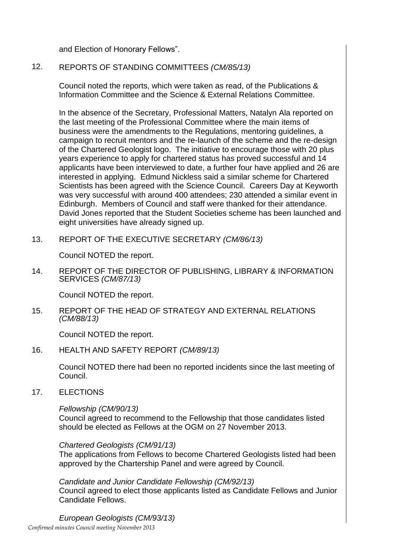and Election of Honorary Fellows".

## 12. REPORTS OF STANDING COMMITTEES *(CM/85/13)*

Council noted the reports, which were taken as read, of the Publications & Information Committee and the Science & External Relations Committee.

In the absence of the Secretary, Professional Matters, Natalyn Ala reported on the last meeting of the Professional Committee where the main items of business were the amendments to the Regulations, mentoring guidelines, a campaign to recruit mentors and the re-launch of the scheme and the re-design of the Chartered Geologist logo. The initiative to encourage those with 20 plus years experience to apply for chartered status has proved successful and 14 applicants have been interviewed to date, a further four have applied and 26 are interested in applying. Edmund Nickless said a similar scheme for Chartered Scientists has been agreed with the Science Council. Careers Day at Keyworth was very successful with around 400 attendees; 230 attended a similar event in Edinburgh. Members of Council and staff were thanked for their attendance. David Jones reported that the Student Societies scheme has been launched and eight universities have already signed up.

13. REPORT OF THE EXECUTIVE SECRETARY *(CM/86/13)*

Council NOTED the report.

14. REPORT OF THE DIRECTOR OF PUBLISHING, LIBRARY & INFORMATION SERVICES *(CM/87/13)*

Council NOTED the report.

15. REPORT OF THE HEAD OF STRATEGY AND EXTERNAL RELATIONS *(CM/88/13)*

Council NOTED the report.

16. HEALTH AND SAFETY REPORT *(CM/89/13)*

Council NOTED there had been no reported incidents since the last meeting of Council.

17. ELECTIONS

### *Fellowship (CM/90/13)*

Council agreed to recommend to the Fellowship that those candidates listed should be elected as Fellows at the OGM on 27 November 2013.

*Chartered Geologists (CM/91/13)*

The applications from Fellows to become Chartered Geologists listed had been approved by the Chartership Panel and were agreed by Council.

*Candidate and Junior Candidate Fellowship (CM/92/13)* Council agreed to elect those applicants listed as Candidate Fellows and Junior Candidate Fellows.

*Confirmed minutes Council meeting November 2013 European Geologists (CM/93/13)*